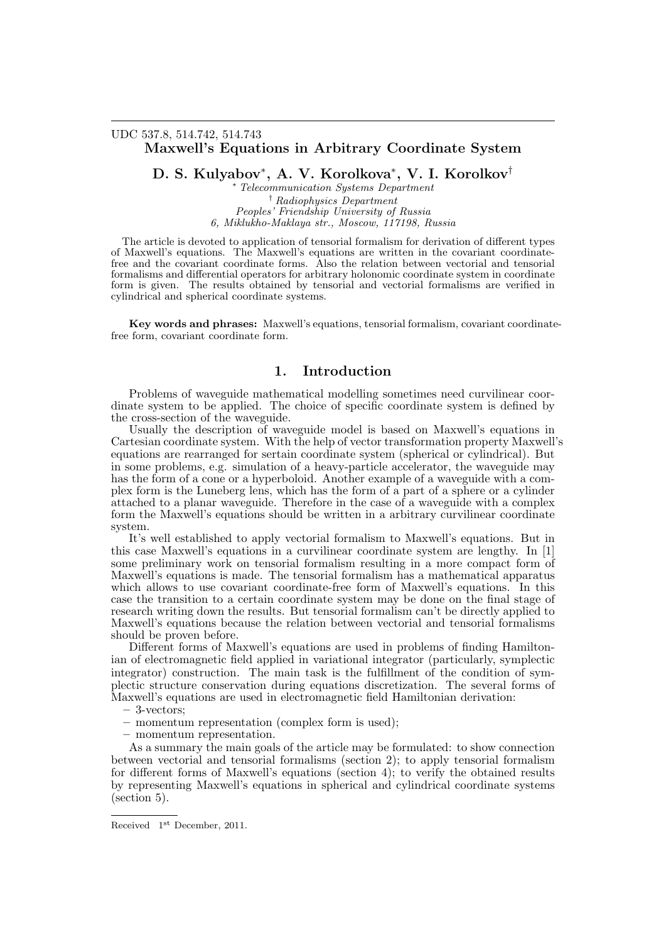## UDC 537.8, 514.742, 514.743 Maxwell's Equations in Arbitrary Coordinate System

D. S. Kulyabov\* , A. V. Korolkova\* , V. I. Korolkov†

\* Telecommunication Systems Department † Radiophysics Department Peoples' Friendship University of Russia 6, Miklukho-Maklaya str., Moscow, 117198, Russia

The article is devoted to application of tensorial formalism for derivation of different types of Maxwell's equations. The Maxwell's equations are written in the covariant coordinatefree and the covariant coordinate forms. Also the relation between vectorial and tensorial formalisms and differential operators for arbitrary holonomic coordinate system in coordinate form is given. The results obtained by tensorial and vectorial formalisms are verified in cylindrical and spherical coordinate systems.

Key words and phrases: Maxwell's equations, tensorial formalism, covariant coordinatefree form, covariant coordinate form.

## 1. Introduction

Problems of waveguide mathematical modelling sometimes need curvilinear coordinate system to be applied. The choice of specific coordinate system is defined by the cross-section of the waveguide.

Usually the description of waveguide model is based on Maxwell's equations in Cartesian coordinate system. With the help of vector transformation property Maxwell's equations are rearranged for sertain coordinate system (spherical or cylindrical). But in some problems, e.g. simulation of a heavy-particle accelerator, the waveguide may has the form of a cone or a hyperboloid. Another example of a waveguide with a complex form is the Luneberg lens, which has the form of a part of a sphere or a cylinder attached to a planar waveguide. Therefore in the case of a waveguide with a complex form the Maxwell's equations should be written in a arbitrary curvilinear coordinate system.

It's well established to apply vectorial formalism to Maxwell's equations. But in this case Maxwell's equations in a curvilinear coordinate system are lengthy. In [1] some preliminary work on tensorial formalism resulting in a more compact form of Maxwell's equations is made. The tensorial formalism has a mathematical apparatus which allows to use covariant coordinate-free form of Maxwell's equations. In this case the transition to a certain coordinate system may be done on the final stage of research writing down the results. But tensorial formalism can't be directly applied to Maxwell's equations because the relation between vectorial and tensorial formalisms should be proven before.

Different forms of Maxwell's equations are used in problems of finding Hamiltonian of electromagnetic field applied in variational integrator (particularly, symplectic integrator) construction. The main task is the fulfillment of the condition of symplectic structure conservation during equations discretization. The several forms of Maxwell's equations are used in electromagnetic field Hamiltonian derivation:

- 3-vectors;
- momentum representation (complex form is used);
- momentum representation.

As a summary the main goals of the article may be formulated: to show connection between vectorial and tensorial formalisms (section 2); to apply tensorial formalism for different forms of Maxwell's equations (section 4); to verify the obtained results by representing Maxwell's equations in spherical and cylindrical coordinate systems (section 5).

Received  $1<sup>st</sup>$  December, 2011.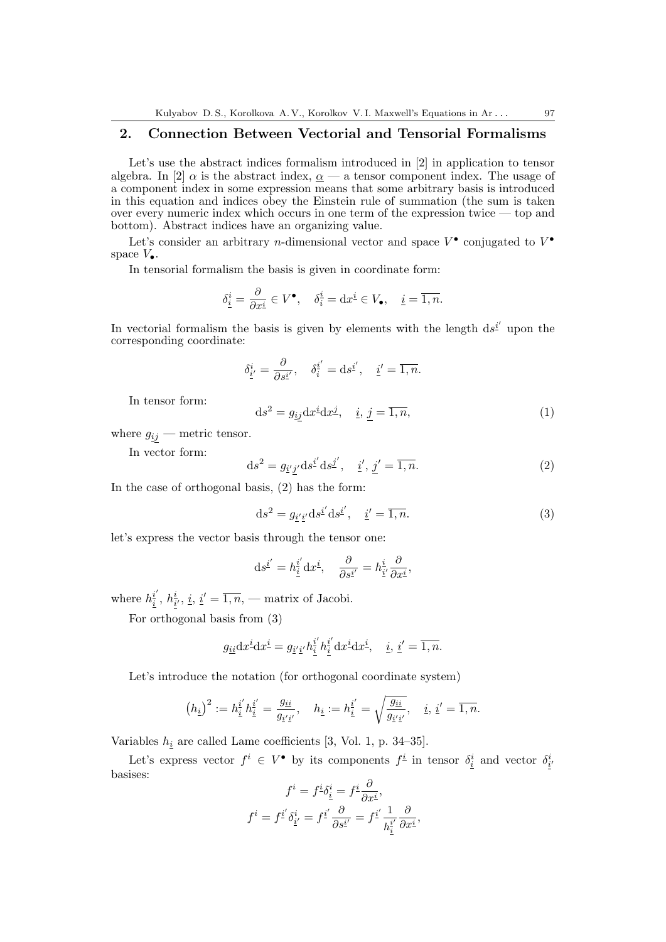## 2. Connection Between Vectorial and Tensorial Formalisms

Let's use the abstract indices formalism introduced in [2] in application to tensor algebra. In [2]  $\alpha$  is the abstract index,  $\alpha$  — a tensor component index. The usage of a component index in some expression means that some arbitrary basis is introduced in this equation and indices obey the Einstein rule of summation (the sum is taken over every numeric index which occurs in one term of the expression twice — top and bottom). Abstract indices have an organizing value.

Let's consider an arbitrary *n*-dimensional vector and space  $V^{\bullet}$  conjugated to  $V^{\bullet}$ space  $V_{\bullet}$ .

In tensorial formalism the basis is given in coordinate form:

$$
\delta_{\underline{i}}^i = \frac{\partial}{\partial x^{\underline{i}}} \in V^\bullet, \quad \delta_{\underline{i}}^{\underline{i}} = dx^{\underline{i}} \in V_\bullet, \quad \underline{i} = \overline{1, n}.
$$

In vectorial formalism the basis is given by elements with the length  $ds^{\underline{i}'}$  upon the corresponding coordinate:

$$
\delta_{\underline{i}'}^i = \frac{\partial}{\partial s^{\underline{i}'}} , \quad \delta_{\underline{i}}^{\underline{i}'} = \mathrm{d} s^{\underline{i}'}, \quad \underline{i}' = \overline{1, n}.
$$

In tensor form:

$$
ds^2 = g_{\underline{i}\underline{j}} dx^{\underline{i}} dx^{\underline{j}}, \quad \underline{i}, \, \underline{j} = \overline{1, n}, \tag{1}
$$

where  $g_{ij}$  — metric tensor.

In vector form:

$$
ds^{2} = g_{\underline{i}'\underline{j}'} ds^{\underline{i}'} ds^{\underline{j}'}, \quad \underline{i}', \underline{j}' = \overline{1, n}.
$$
 (2)

In the case of orthogonal basis, (2) has the form:

$$
ds2 = gi'i'} dsi' dsi', i' = \overline{1, n}.
$$
 (3)

let's express the vector basis through the tensor one:

$$
ds^{\underline{i}'} = h^{\underline{i}'}_{\underline{i}} dx^{\underline{i}}, \quad \frac{\partial}{\partial s^{\underline{i}'}} = h^{\underline{i}}_{\underline{i}'} \frac{\partial}{\partial x^{\underline{i}}},
$$

where  $h_i^{\underline{i}'}$  $\frac{i'}{i},\, h_i^i$  $\frac{i}{i'}, i, i' = \overline{1, n},$  — matrix of Jacobi.

For orthogonal basis from (3)

$$
g_{\underline{i}\underline{i}}\mathrm{d}x^{\underline{i}}\mathrm{d}x^{\underline{i}} = g_{\underline{i}'\underline{i}'}h_{\underline{i}}^{\underline{i}'}h_{\underline{i}}^{\underline{i}'}\mathrm{d}x^{\underline{i}}\mathrm{d}x^{\underline{i}}, \quad \underline{i}, \underline{i}' = \overline{1,n}.
$$

Let's introduce the notation (for orthogonal coordinate system)

$$
(h_{\underline{i}})^2 := h_{\underline{i}}^{i'} h_{\underline{i}}^{i'} = \frac{g_{\underline{i}\underline{i}}}{g_{\underline{i}'\underline{i}'}}
$$
,  $h_{\underline{i}} := h_{\underline{i}}^{i'} = \sqrt{\frac{g_{\underline{i}\underline{i}}}{g_{\underline{i}'\underline{i}'}}}$ ,  $\underline{i}, \underline{i}' = \overline{1, n}$ .

Variables  $h_i$  are called Lame coefficients [3, Vol. 1, p. 34–35].

Let's express vector  $f^i \in V^{\bullet}$  by its components  $f^{\underline{i}}$  in tensor  $\delta_{\underline{i}}^i$  and vector  $\delta_{\underline{i}}^i$ basises:

$$
f^i = f^i \delta^i_{\underline{i}} = f^{\underline{i}} \frac{\partial}{\partial x^{\underline{i}}},
$$

$$
f^i = f^{\underline{i}'} \delta^i_{\underline{i}'} = f^{\underline{i}'} \frac{\partial}{\partial s^{\underline{i}'}} = f^{\underline{i}'} \frac{1}{h^{\underline{i}'}} \frac{\partial}{\partial x^{\underline{i}}},
$$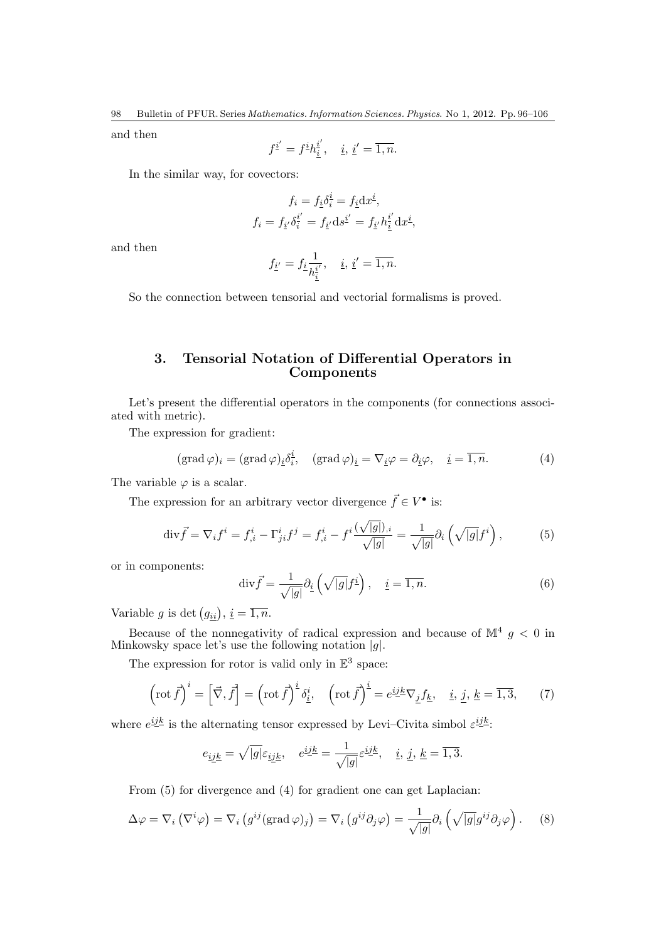and then

$$
f^{\underline{i}'} = f^{\underline{i}} h_{\underline{i}}^{\underline{i}'}, \quad \underline{i}, \, \underline{i}' = \overline{1, n}.
$$

In the similar way, for covectors:

$$
f_i = f_{\underline{i}} \delta_{\underline{i}}^{\underline{i}} = f_{\underline{i}} dx^{\underline{i}},
$$

$$
f_i = f_{\underline{i'}} \delta_{\underline{i}}^{\underline{i'}} = f_{\underline{i'}} ds^{\underline{i'}} = f_{\underline{i'}} h_{\underline{\underline{i}}}^{\underline{i'}} dx^{\underline{i}},
$$

and then

$$
f_{\underline{i}'} = f_{\underline{i}} \frac{1}{h_{\underline{i}}^{i'}}, \quad \underline{i}, \, \underline{i}' = \overline{1, n}.
$$

So the connection between tensorial and vectorial formalisms is proved.

# 3. Tensorial Notation of Differential Operators in Components

Let's present the differential operators in the components (for connections associated with metric).

The expression for gradient:

$$
(\text{grad}\,\varphi)_i = (\text{grad}\,\varphi)_i \delta_i^i, \quad (\text{grad}\,\varphi)_i = \nabla_i \varphi = \partial_i \varphi, \quad i = \overline{1, n}.
$$
 (4)

The variable  $\varphi$  is a scalar.

The expression for an arbitrary vector divergence  $\vec{f} \in V^{\bullet}$  is:

$$
\text{div}\vec{f} = \nabla_i f^i = f^i_{,i} - \Gamma^i_{ji} f^j = f^i_{,i} - f^i \frac{(\sqrt{|g|})_{,i}}{\sqrt{|g|}} = \frac{1}{\sqrt{|g|}} \partial_i \left(\sqrt{|g|} f^i\right),\tag{5}
$$

or in components:

$$
\operatorname{div} \vec{f} = \frac{1}{\sqrt{|g|}} \partial_{\underline{i}} \left( \sqrt{|g|} f^{\underline{i}} \right), \quad \underline{i} = \overline{1, n}.
$$
 (6)

Variable g is det  $(g_{ii}), i = \overline{1, n}.$ 

Because of the nonnegativity of radical expression and because of  $\mathbb{M}^4$  g < 0 in Minkowsky space let's use the following notation  $|g|$ .

The expression for rotor is valid only in  $\mathbb{E}^3$  space:

$$
\left(\operatorname{rot} \vec{f}\right)^i = \left[\vec{\nabla}, \vec{f}\right] = \left(\operatorname{rot} \vec{f}\right)^{\underline{i}} \delta_{\underline{i}}^i, \quad \left(\operatorname{rot} \vec{f}\right)^{\underline{i}} = e^{\underline{i}\underline{j}k} \nabla_{\underline{j}} f_{\underline{k}}, \quad \underline{i}, \, \underline{j}, \, \underline{k} = \overline{1, 3}, \tag{7}
$$

where  $e^{i\underline{j}\underline{k}}$  is the alternating tensor expressed by Levi–Civita simbol  $\varepsilon^{i\underline{j}\underline{k}}$ :

$$
e_{\underline{i}\underline{j}\underline{k}}=\sqrt{|g|}\varepsilon_{\underline{i}\underline{j}\underline{k}},\quad e^{\underline{i}\underline{j}\underline{k}}=\frac{1}{\sqrt{|g|}}\varepsilon^{\underline{i}\underline{j}\underline{k}},\quad \underline{i},\,\underline{j},\,\underline{k}=\overline{1,3}.
$$

From  $(5)$  for divergence and  $(4)$  for gradient one can get Laplacian:

$$
\Delta \varphi = \nabla_i \left( \nabla^i \varphi \right) = \nabla_i \left( g^{ij} (\text{grad } \varphi)_j \right) = \nabla_i \left( g^{ij} \partial_j \varphi \right) = \frac{1}{\sqrt{|g|}} \partial_i \left( \sqrt{|g|} g^{ij} \partial_j \varphi \right). \tag{8}
$$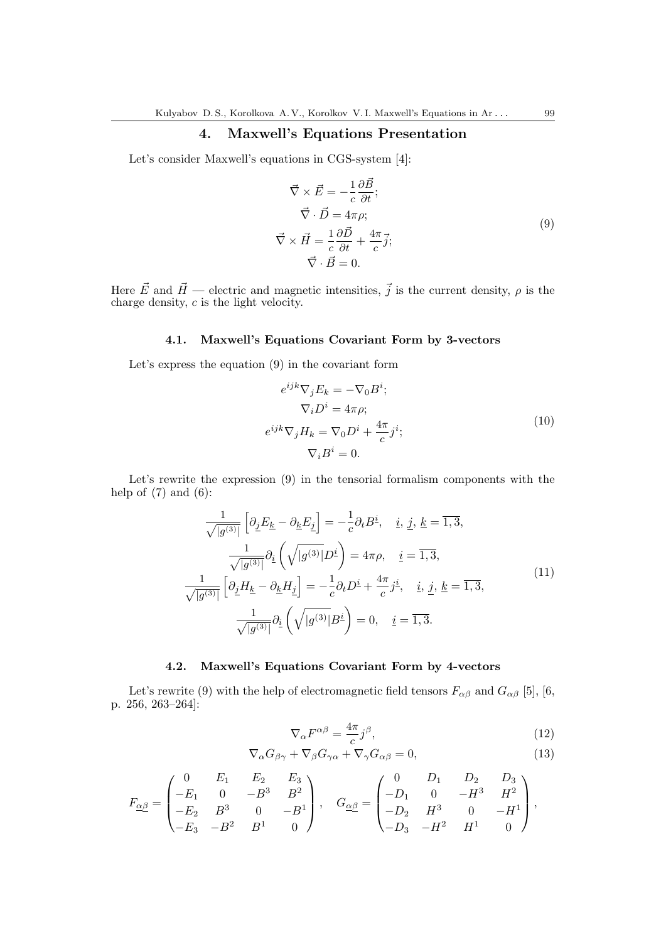# 4. Maxwell's Equations Presentation

Let's consider Maxwell's equations in CGS-system [4]:

$$
\vec{\nabla} \times \vec{E} = -\frac{1}{c} \frac{\partial \vec{B}}{\partial t};
$$
\n
$$
\vec{\nabla} \cdot \vec{D} = 4\pi \rho;
$$
\n
$$
\vec{\nabla} \times \vec{H} = \frac{1}{c} \frac{\partial \vec{D}}{\partial t} + \frac{4\pi}{c} \vec{j};
$$
\n
$$
\vec{\nabla} \cdot \vec{B} = 0.
$$
\n(9)

Here  $\vec{E}$  and  $\vec{H}$  — electric and magnetic intensities,  $\vec{j}$  is the current density,  $\rho$  is the charge density,  $c$  is the light velocity.

## 4.1. Maxwell's Equations Covariant Form by 3-vectors

Let's express the equation (9) in the covariant form

$$
e^{ijk}\nabla_j E_k = -\nabla_0 B^i;
$$
  
\n
$$
\nabla_i D^i = 4\pi \rho;
$$
  
\n
$$
e^{ijk}\nabla_j H_k = \nabla_0 D^i + \frac{4\pi}{c} j^i;
$$
  
\n
$$
\nabla_i B^i = 0.
$$
\n(10)

Let's rewrite the expression (9) in the tensorial formalism components with the help of  $(7)$  and  $(6)$ :

$$
\frac{1}{\sqrt{|g^{(3)}|}} \left[ \partial_{\underline{j}} E_{\underline{k}} - \partial_{\underline{k}} E_{\underline{j}} \right] = -\frac{1}{c} \partial_t B^{\underline{i}}, \quad \underline{i}, \, \underline{j}, \, \underline{k} = \overline{1, 3},
$$
\n
$$
\frac{1}{\sqrt{|g^{(3)}|}} \partial_{\underline{i}} \left( \sqrt{|g^{(3)}|} D^{\underline{i}} \right) = 4\pi \rho, \quad \underline{i} = \overline{1, 3},
$$
\n
$$
\frac{1}{\sqrt{|g^{(3)}|}} \left[ \partial_{\underline{j}} H_{\underline{k}} - \partial_{\underline{k}} H_{\underline{j}} \right] = -\frac{1}{c} \partial_t D^{\underline{i}} + \frac{4\pi}{c} j^{\underline{i}}, \quad \underline{i}, \, \underline{j}, \, \underline{k} = \overline{1, 3},
$$
\n
$$
\frac{1}{\sqrt{|g^{(3)}|}} \partial_{\underline{i}} \left( \sqrt{|g^{(3)}|} B^{\underline{i}} \right) = 0, \quad \underline{i} = \overline{1, 3}.
$$
\n(11)

## 4.2. Maxwell's Equations Covariant Form by 4-vectors

Let's rewrite (9) with the help of electromagnetic field tensors  $F_{\alpha\beta}$  and  $G_{\alpha\beta}$  [5], [6, p. 256, 263–264]:

$$
\nabla_{\alpha} F^{\alpha \beta} = \frac{4\pi}{c} j^{\beta},\tag{12}
$$

$$
\nabla_{\alpha} G_{\beta\gamma} + \nabla_{\beta} G_{\gamma\alpha} + \nabla_{\gamma} G_{\alpha\beta} = 0, \qquad (13)
$$

$$
F_{\underline{\alpha}\underline{\beta}} = \begin{pmatrix} 0 & E_1 & E_2 & E_3 \\ -E_1 & 0 & -B^3 & B^2 \\ -E_2 & B^3 & 0 & -B^1 \\ -E_3 & -B^2 & B^1 & 0 \end{pmatrix}, \quad G_{\underline{\alpha}\underline{\beta}} = \begin{pmatrix} 0 & D_1 & D_2 & D_3 \\ -D_1 & 0 & -H^3 & H^2 \\ -D_2 & H^3 & 0 & -H^1 \\ -D_3 & -H^2 & H^1 & 0 \end{pmatrix},
$$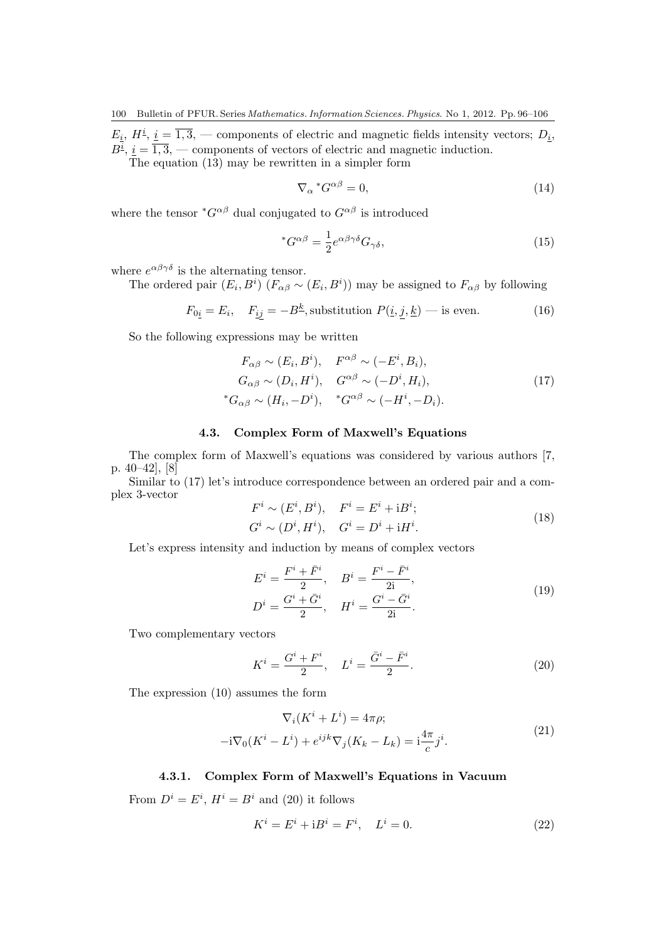$E_i$ ,  $H^{\underline{i}}, \underline{i} = \overline{1,3},$  — components of electric and magnetic fields intensity vectors;  $D_{\underline{i}},$  $B^{\underline{i}}, \underline{i} = \overline{1,3},$  — components of vectors of electric and magnetic induction.

The equation (13) may be rewritten in a simpler form

$$
\nabla_{\alpha}^* G^{\alpha \beta} = 0,\tag{14}
$$

where the tensor  $^*G^{\alpha\beta}$  dual conjugated to  $G^{\alpha\beta}$  is introduced

$$
{}^*G^{\alpha\beta} = \frac{1}{2} e^{\alpha\beta\gamma\delta} G_{\gamma\delta},\tag{15}
$$

where  $e^{\alpha\beta\gamma\delta}$  is the alternating tensor.

The ordered pair  $(E_i, B^i)$   $(F_{\alpha\beta} \sim (E_i, B^i))$  may be assigned to  $F_{\alpha\beta}$  by following

$$
F_{0\underline{i}} = E_i, \quad F_{\underline{i}\underline{j}} = -B^{\underline{k}},
$$
 substitution  $P(\underline{i}, \underline{j}, \underline{k})$  — is even. (16)

So the following expressions may be written

$$
F_{\alpha\beta} \sim (E_i, B^i), \quad F^{\alpha\beta} \sim (-E^i, B_i),
$$
  
\n
$$
G_{\alpha\beta} \sim (D_i, H^i), \quad G^{\alpha\beta} \sim (-D^i, H_i),
$$
  
\n
$$
{}^*G_{\alpha\beta} \sim (H_i, -D^i), \quad {}^*G^{\alpha\beta} \sim (-H^i, -D_i).
$$
\n(17)

#### 4.3. Complex Form of Maxwell's Equations

The complex form of Maxwell's equations was considered by various authors [7, p. 40–42], [8]

Similar to (17) let's introduce correspondence between an ordered pair and a complex 3-vector

$$
F^{i} \sim (E^{i}, B^{i}), \quad F^{i} = E^{i} + iB^{i};
$$
  
\n
$$
G^{i} \sim (D^{i}, H^{i}), \quad G^{i} = D^{i} + iH^{i}.
$$
\n(18)

Let's express intensity and induction by means of complex vectors

$$
E^{i} = \frac{F^{i} + \bar{F}^{i}}{2}, \quad B^{i} = \frac{F^{i} - \bar{F}^{i}}{2i},
$$
  
\n
$$
D^{i} = \frac{G^{i} + \bar{G}^{i}}{2}, \quad H^{i} = \frac{G^{i} - \bar{G}^{i}}{2i}.
$$
\n(19)

Two complementary vectors

$$
K^{i} = \frac{G^{i} + F^{i}}{2}, \quad L^{i} = \frac{\bar{G}^{i} - \bar{F}^{i}}{2}.
$$
 (20)

The expression (10) assumes the form

$$
\nabla_i (K^i + L^i) = 4\pi \rho;
$$
  

$$
-i\nabla_0 (K^i - L^i) + e^{ijk} \nabla_j (K_k - L_k) = i \frac{4\pi}{c} j^i.
$$
 (21)

## 4.3.1. Complex Form of Maxwell's Equations in Vacuum

From  $D^i = E^i$ ,  $H^i = B^i$  and (20) it follows

$$
K^i = E^i + iB^i = F^i, \quad L^i = 0.
$$
 (22)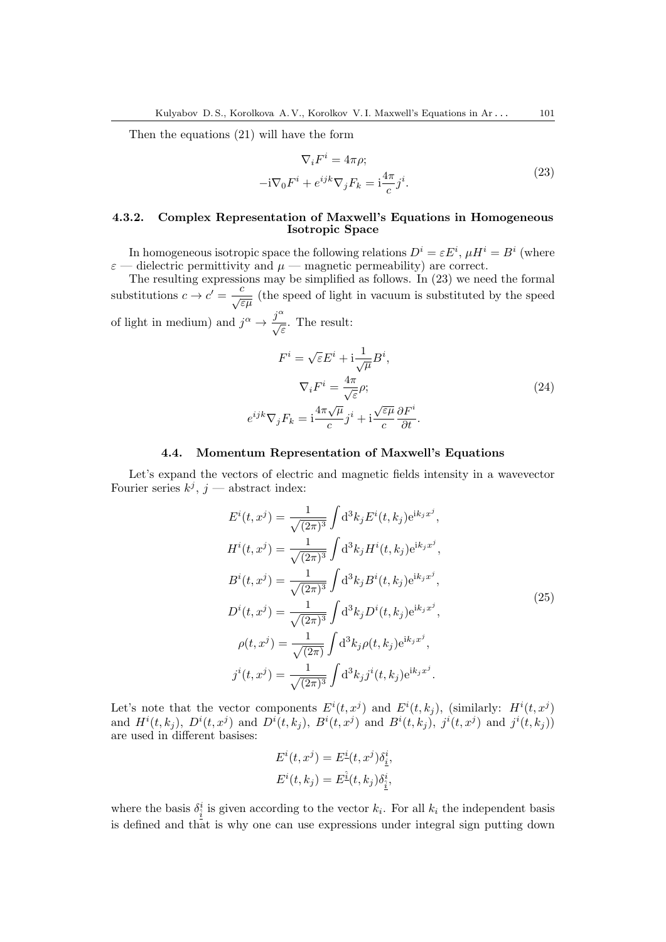Then the equations (21) will have the form

$$
\nabla_i F^i = 4\pi \rho;
$$
  

$$
-i\nabla_0 F^i + e^{ijk}\nabla_j F_k = i\frac{4\pi}{c}j^i.
$$
 (23)

#### 4.3.2. Complex Representation of Maxwell's Equations in Homogeneous Isotropic Space

In homogeneous isotropic space the following relations  $D^i = \varepsilon E^i$ ,  $\mu H^i = B^i$  (where  $\varepsilon$  — dielectric permittivity and  $\mu$  — magnetic permeability) are correct.

The resulting expressions may be simplified as follows. In (23) we need the formal substitutions  $c \to c' = \frac{c}{\sqrt{\varepsilon\mu}}$  (the speed of light in vacuum is substituted by the speed of light in medium) and  $j^{\alpha} \rightarrow \frac{j^{\alpha}}{\sqrt{\varepsilon}}$ . The result:

$$
F^{i} = \sqrt{\varepsilon} E^{i} + \mathrm{i} \frac{1}{\sqrt{\mu}} B^{i},
$$

$$
\nabla_{i} F^{i} = \frac{4\pi}{\sqrt{\varepsilon}} \rho;
$$

$$
e^{ijk} \nabla_{j} F_{k} = \mathrm{i} \frac{4\pi \sqrt{\mu}}{c} j^{i} + \mathrm{i} \frac{\sqrt{\varepsilon \mu}}{c} \frac{\partial F^{i}}{\partial t}.
$$
(24)

#### 4.4. Momentum Representation of Maxwell's Equations

Let's expand the vectors of electric and magnetic fields intensity in a wavevector Fourier series  $k^j$ ,  $j$  — abstract index:

$$
E^{i}(t, x^{j}) = \frac{1}{\sqrt{(2\pi)^{3}}} \int d^{3}k_{j} E^{i}(t, k_{j}) e^{ik_{j}x^{j}},
$$
  
\n
$$
H^{i}(t, x^{j}) = \frac{1}{\sqrt{(2\pi)^{3}}} \int d^{3}k_{j} H^{i}(t, k_{j}) e^{ik_{j}x^{j}},
$$
  
\n
$$
B^{i}(t, x^{j}) = \frac{1}{\sqrt{(2\pi)^{3}}} \int d^{3}k_{j} B^{i}(t, k_{j}) e^{ik_{j}x^{j}},
$$
  
\n
$$
D^{i}(t, x^{j}) = \frac{1}{\sqrt{(2\pi)^{3}}} \int d^{3}k_{j} D^{i}(t, k_{j}) e^{ik_{j}x^{j}},
$$
  
\n
$$
\rho(t, x^{j}) = \frac{1}{\sqrt{(2\pi)}} \int d^{3}k_{j} \rho(t, k_{j}) e^{ik_{j}x^{j}},
$$
  
\n
$$
j^{i}(t, x^{j}) = \frac{1}{\sqrt{(2\pi)^{3}}} \int d^{3}k_{j} j^{i}(t, k_{j}) e^{ik_{j}x^{j}}.
$$
  
\n(25)

Let's note that the vector components  $E^{i}(t, x^{j})$  and  $E^{i}(t, k_{j})$ , (similarly:  $H^{i}(t, x^{j})$ and  $H^{i}(t, k_j)$ ,  $D^{i}(t, x^j)$  and  $D^{i}(t, k_j)$ ,  $B^{i}(t, x^j)$  and  $B^{i}(t, k_j)$ ,  $j^{i}(t, x^j)$  and  $j^{i}(t, k_j)$ ) are used in different basises:

$$
E^i(t, x^j) = E^{\underline{i}}(t, x^j) \delta_{\underline{i}}^i,
$$
  

$$
E^i(t, k_j) = E^{\underline{\hat{i}}}(t, k_j) \delta_{\underline{\hat{i}}}^i,
$$

where the basis  $\delta^i_{\hat{i}}$  is given according to the vector  $k_i$ . For all  $k_i$  the independent basis is defined and that is why one can use expressions under integral sign putting down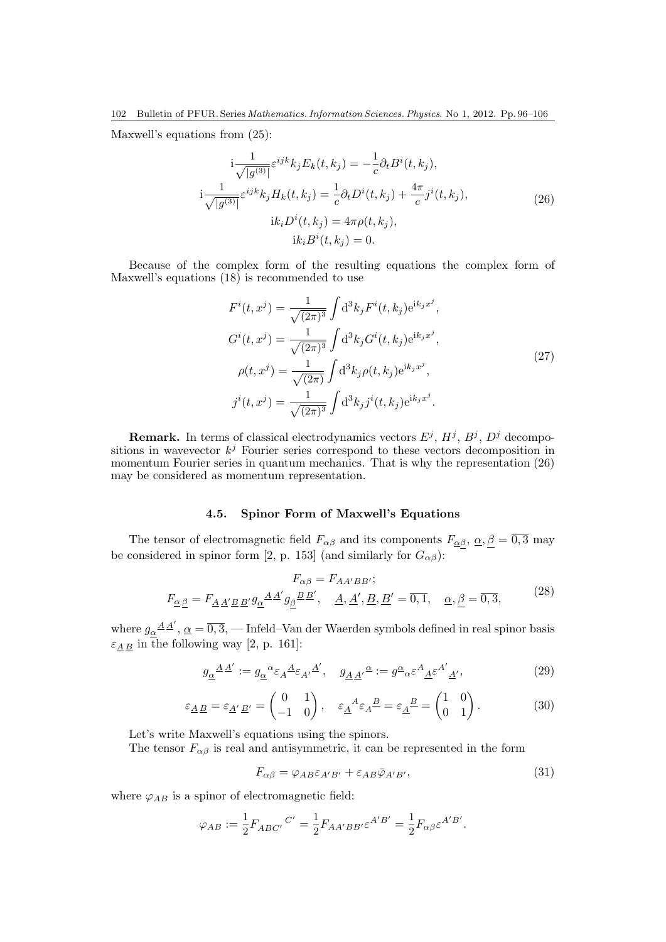Maxwell's equations from (25):

$$
i\frac{1}{\sqrt{|g^{(3)}|}}\varepsilon^{ijk}k_jE_k(t,k_j) = -\frac{1}{c}\partial_tB^i(t,k_j),
$$
  
\n
$$
i\frac{1}{\sqrt{|g^{(3)}|}}\varepsilon^{ijk}k_jH_k(t,k_j) = \frac{1}{c}\partial_tD^i(t,k_j) + \frac{4\pi}{c}j^i(t,k_j),
$$
  
\n
$$
ik_iD^i(t,k_j) = 4\pi\rho(t,k_j),
$$
  
\n
$$
ik_iB^i(t,k_j) = 0.
$$
\n(26)

Because of the complex form of the resulting equations the complex form of Maxwell's equations (18) is recommended to use

$$
F^{i}(t, x^{j}) = \frac{1}{\sqrt{(2\pi)^{3}}} \int d^{3}k_{j} F^{i}(t, k_{j}) e^{ik_{j}x^{j}},
$$
  
\n
$$
G^{i}(t, x^{j}) = \frac{1}{\sqrt{(2\pi)^{3}}} \int d^{3}k_{j} G^{i}(t, k_{j}) e^{ik_{j}x^{j}},
$$
  
\n
$$
\rho(t, x^{j}) = \frac{1}{\sqrt{(2\pi)}} \int d^{3}k_{j} \rho(t, k_{j}) e^{ik_{j}x^{j}},
$$
  
\n
$$
j^{i}(t, x^{j}) = \frac{1}{\sqrt{(2\pi)^{3}}} \int d^{3}k_{j} j^{i}(t, k_{j}) e^{ik_{j}x^{j}}.
$$
\n(27)

**Remark.** In terms of classical electrodynamics vectors  $E^j$ ,  $H^j$ ,  $B^j$ ,  $D^j$  decompositions in wavevector  $k^j$  Fourier series correspond to these vectors decomposition in momentum Fourier series in quantum mechanics. That is why the representation (26) may be considered as momentum representation.

## 4.5. Spinor Form of Maxwell's Equations

The tensor of electromagnetic field  $F_{\alpha\beta}$  and its components  $F_{\alpha\beta}$ ,  $\alpha$ ,  $\beta = \overline{0,3}$  may be considered in spinor form [2, p. 153] (and similarly for  $G_{\alpha\beta}$ ):

$$
F_{\alpha\beta} = F_{AA'BB'};
$$
  
\n
$$
F_{\underline{\alpha}\underline{\beta}} = F_{\underline{A}\underline{A'B}} \underline{B'g_{\underline{\alpha}}}^{\underline{A}\underline{A'}g_{\underline{\beta}}} \underline{B\underline{B'}}', \quad \underline{A}, \underline{A'}, \underline{B}, \underline{B'} = \overline{0, 1}, \quad \underline{\alpha}, \underline{\beta} = \overline{0, 3},
$$
\n(28)

where  $g_{\alpha}^{\phantom{\alpha} A}{}^A$ ',  ${\alpha}=\overline{0,3},$  — Infeld–Van der Waerden symbols defined in real spinor basis  $\varepsilon_{\underline{A}\,\underline{B}}$  in the following way [2, p. 161]:

$$
g_{\underline{\alpha}}{}^{\underline{A}\underline{A}'} := g_{\underline{\alpha}}{}^{\alpha} \varepsilon_A{}^{\underline{A}} \varepsilon_{A'}{}^{\underline{A}'}, \quad g_{\underline{A}\underline{A}'}{}^{\underline{\alpha}} := g^{\underline{\alpha}}{}_{\alpha} \varepsilon^A{}_{\underline{A}} \varepsilon^{A'}{}_{\underline{A}'}, \tag{29}
$$

$$
\varepsilon_{\underline{A}\,\underline{B}} = \varepsilon_{\underline{A}'\,\underline{B}'} = \begin{pmatrix} 0 & 1 \\ -1 & 0 \end{pmatrix}, \quad \varepsilon_{\underline{A}}{}^A \varepsilon_A{}^{\underline{B}} = \varepsilon_{\underline{A}}{}^{\underline{B}} = \begin{pmatrix} 1 & 0 \\ 0 & 1 \end{pmatrix}.
$$
 (30)

Let's write Maxwell's equations using the spinors.

The tensor  $F_{\alpha\beta}$  is real and antisymmetric, it can be represented in the form

$$
F_{\alpha\beta} = \varphi_{AB} \varepsilon_{A'B'} + \varepsilon_{AB} \bar{\varphi}_{A'B'},\tag{31}
$$

where  $\varphi_{AB}$  is a spinor of electromagnetic field:

$$
\varphi_{AB} := \frac{1}{2} F_{ABC'}^{\phantom{A'}C'} = \frac{1}{2} F_{AA'BB'} \varepsilon^{A'B'} = \frac{1}{2} F_{\alpha\beta} \varepsilon^{A'B'}.
$$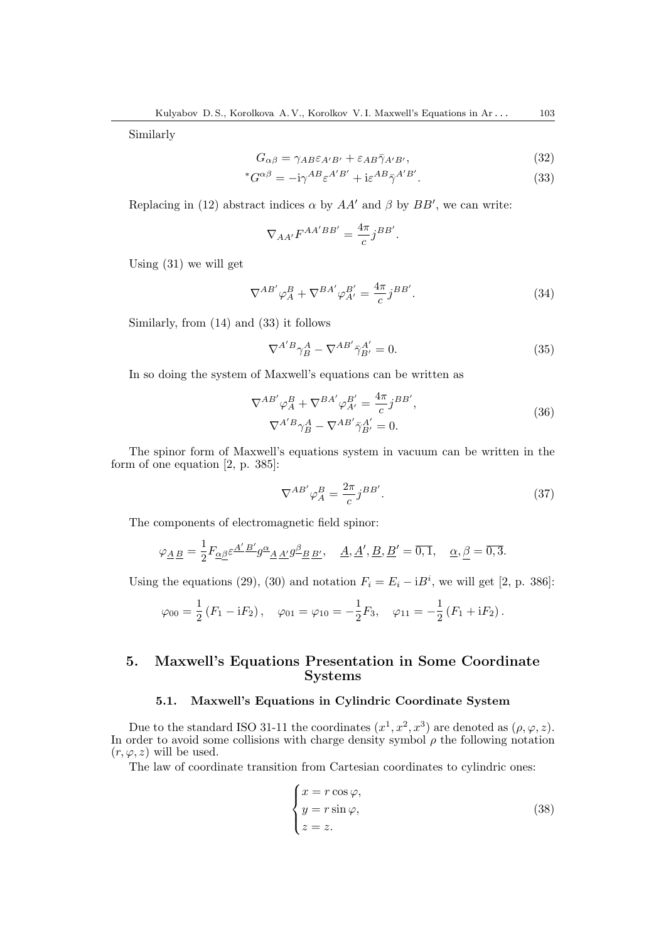Similarly

$$
G_{\alpha\beta} = \gamma_{AB} \varepsilon_{A'B'} + \varepsilon_{AB} \bar{\gamma}_{A'B'},\tag{32}
$$

$$
{}^*G^{\alpha\beta} = -i\gamma^{AB}\varepsilon^{A'B'} + i\varepsilon^{AB}\bar{\gamma}^{A'B'}.
$$
\n(33)

Replacing in (12) abstract indices  $\alpha$  by  $AA'$  and  $\beta$  by  $BB'$ , we can write:

$$
\nabla_{AA'} F^{AA'BB'} = \frac{4\pi}{c} j^{BB'}.
$$

Using (31) we will get

$$
\nabla^{AB'} \varphi_A^B + \nabla^{BA'} \varphi_{A'}^{B'} = \frac{4\pi}{c} j^{BB'}.
$$
\n(34)

Similarly, from (14) and (33) it follows

$$
\nabla^{A'B}\gamma_B^A - \nabla^{AB'}\bar{\gamma}_{B'}^{A'} = 0.
$$
\n(35)

In so doing the system of Maxwell's equations can be written as

$$
\nabla^{AB'} \varphi_A^B + \nabla^{BA'} \varphi_{A'}^{B'} = \frac{4\pi}{c} j^{BB'},
$$
  

$$
\nabla^{A'B} \gamma_B^A - \nabla^{AB'} \bar{\gamma}_{B'}^{A'} = 0.
$$
 (36)

The spinor form of Maxwell's equations system in vacuum can be written in the form of one equation [2, p. 385]:

$$
\nabla^{AB'} \varphi_A^B = \frac{2\pi}{c} j^{BB'}.
$$
\n(37)

The components of electromagnetic field spinor:

$$
\varphi_{\underline{A}\,\underline{B}} = \frac{1}{2} F_{\underline{\alpha}\underline{\beta}} \varepsilon^{\underline{A}'\,\underline{B}'} g^{\underline{\alpha}}{}_{\underline{A}\,\underline{A}'} g^{\underline{\beta}}{}_{\underline{B}\,\underline{B}'}, \quad \underline{A}, \underline{A}', \underline{B}, \underline{B}' = \overline{0,1}, \quad \underline{\alpha}, \underline{\beta} = \overline{0,3}.
$$

Using the equations (29), (30) and notation  $F_i = E_i - iB^i$ , we will get [2, p. 386]:

$$
\varphi_{00} = \frac{1}{2} (F_1 - iF_2), \quad \varphi_{01} = \varphi_{10} = -\frac{1}{2} F_3, \quad \varphi_{11} = -\frac{1}{2} (F_1 + iF_2).
$$

# 5. Maxwell's Equations Presentation in Some Coordinate Systems

#### 5.1. Maxwell's Equations in Cylindric Coordinate System

Due to the standard ISO 31-11 the coordinates  $(x^1, x^2, x^3)$  are denoted as  $(\rho, \varphi, z)$ . In order to avoid some collisions with charge density symbol  $\rho$  the following notation  $(r, \varphi, z)$  will be used.

The law of coordinate transition from Cartesian coordinates to cylindric ones:

$$
\begin{cases}\n x = r \cos \varphi, \\
 y = r \sin \varphi, \\
 z = z.\n\end{cases}
$$
\n(38)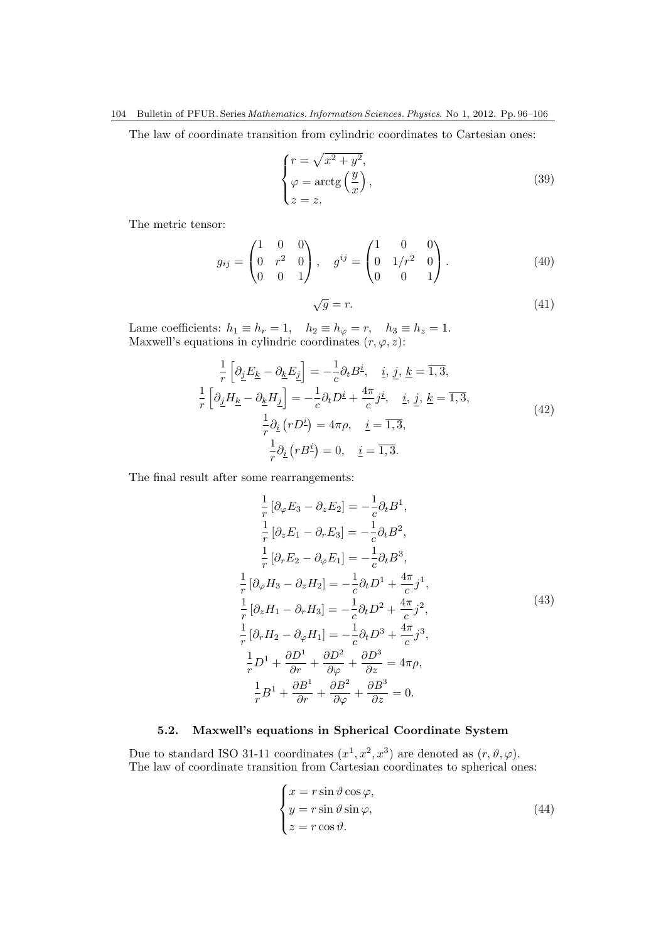The law of coordinate transition from cylindric coordinates to Cartesian ones:

$$
\begin{cases}\nr = \sqrt{x^2 + y^2}, \\
\varphi = \arctg\left(\frac{y}{x}\right), \\
z = z.\n\end{cases}
$$
\n(39)

The metric tensor:

$$
g_{ij} = \begin{pmatrix} 1 & 0 & 0 \\ 0 & r^2 & 0 \\ 0 & 0 & 1 \end{pmatrix}, \quad g^{ij} = \begin{pmatrix} 1 & 0 & 0 \\ 0 & 1/r^2 & 0 \\ 0 & 0 & 1 \end{pmatrix}.
$$
 (40)

$$
\sqrt{g} = r.\tag{41}
$$

Lame coefficients:  $h_1 \equiv h_r = 1$ ,  $h_2 \equiv h_\varphi = r$ ,  $h_3 \equiv h_z = 1$ . Maxwell's equations in cylindric coordinates  $(r, \varphi, z)$ :

$$
\frac{1}{r} \left[ \partial_{\underline{j}} E_{\underline{k}} - \partial_{\underline{k}} E_{\underline{j}} \right] = -\frac{1}{c} \partial_t B^{\underline{i}}, \quad \underline{i}, \underline{j}, \underline{k} = \overline{1, 3},
$$
\n
$$
\frac{1}{r} \left[ \partial_{\underline{j}} H_{\underline{k}} - \partial_{\underline{k}} H_{\underline{j}} \right] = -\frac{1}{c} \partial_t D^{\underline{i}} + \frac{4\pi}{c} j^{\underline{i}}, \quad \underline{i}, \underline{j}, \underline{k} = \overline{1, 3},
$$
\n
$$
\frac{1}{r} \partial_{\underline{i}} (r D^{\underline{i}}) = 4\pi \rho, \quad \underline{i} = \overline{1, 3},
$$
\n
$$
\frac{1}{r} \partial_{\underline{i}} (r B^{\underline{i}}) = 0, \quad \underline{i} = \overline{1, 3}.
$$
\n(42)

The final result after some rearrangements:

$$
\frac{1}{r} [\partial_{\varphi} E_3 - \partial_z E_2] = -\frac{1}{c} \partial_t B^1,
$$
  
\n
$$
\frac{1}{r} [\partial_z E_1 - \partial_r E_3] = -\frac{1}{c} \partial_t B^2,
$$
  
\n
$$
\frac{1}{r} [\partial_r E_2 - \partial_{\varphi} E_1] = -\frac{1}{c} \partial_t B^3,
$$
  
\n
$$
\frac{1}{r} [\partial_{\varphi} H_3 - \partial_z H_2] = -\frac{1}{c} \partial_t D^1 + \frac{4\pi}{c} j^1,
$$
  
\n
$$
\frac{1}{r} [\partial_z H_1 - \partial_r H_3] = -\frac{1}{c} \partial_t D^2 + \frac{4\pi}{c} j^2,
$$
  
\n
$$
\frac{1}{r} [\partial_r H_2 - \partial_{\varphi} H_1] = -\frac{1}{c} \partial_t D^3 + \frac{4\pi}{c} j^3,
$$
  
\n
$$
\frac{1}{r} D^1 + \frac{\partial D^1}{\partial r} + \frac{\partial D^2}{\partial \varphi} + \frac{\partial D^3}{\partial z} = 4\pi \rho,
$$
  
\n
$$
\frac{1}{r} B^1 + \frac{\partial B^1}{\partial r} + \frac{\partial B^2}{\partial \varphi} + \frac{\partial B^3}{\partial z} = 0.
$$
  
\n(43)

## 5.2. Maxwell's equations in Spherical Coordinate System

Due to standard ISO 31-11 coordinates  $(x^1, x^2, x^3)$  are denoted as  $(r, \vartheta, \varphi)$ . The law of coordinate transition from Cartesian coordinates to spherical ones:

$$
\begin{cases}\n x = r \sin \vartheta \cos \varphi, \\
 y = r \sin \vartheta \sin \varphi, \\
 z = r \cos \vartheta.\n\end{cases}
$$
\n(44)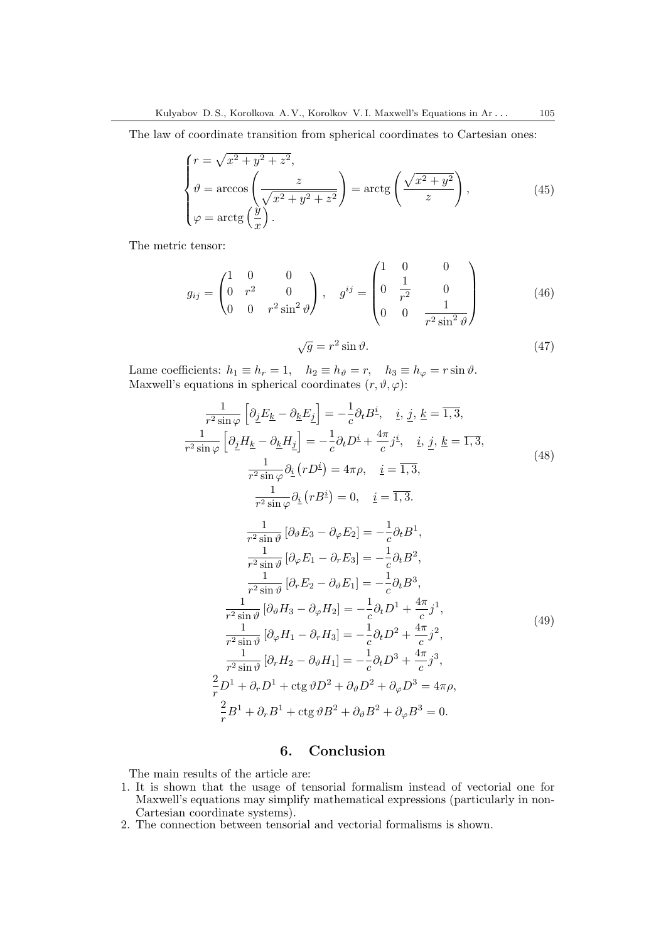The law of coordinate transition from spherical coordinates to Cartesian ones:

$$
\begin{cases}\n r = \sqrt{x^2 + y^2 + z^2}, \\
 \vartheta = \arccos\left(\frac{z}{\sqrt{x^2 + y^2 + z^2}}\right) = \arctg\left(\frac{\sqrt{x^2 + y^2}}{z}\right), \\
 \varphi = \arctg\left(\frac{y}{x}\right).\n\end{cases} (45)
$$

The metric tensor:

$$
g_{ij} = \begin{pmatrix} 1 & 0 & 0 \\ 0 & r^2 & 0 \\ 0 & 0 & r^2 \sin^2 \vartheta \end{pmatrix}, \quad g^{ij} = \begin{pmatrix} 1 & 0 & 0 \\ 0 & \frac{1}{r^2} & 0 \\ 0 & 0 & \frac{1}{r^2 \sin^2 \vartheta} \end{pmatrix}
$$
(46)

$$
\sqrt{g} = r^2 \sin \vartheta. \tag{47}
$$

Lame coefficients:  $h_1 \equiv h_r = 1$ ,  $h_2 \equiv h_\vartheta = r$ ,  $h_3 \equiv h_\varphi = r \sin \vartheta$ . Maxwell's equations in spherical coordinates  $(r, \vartheta, \varphi)$ :

$$
\frac{1}{r^2 \sin \varphi} \left[ \partial_{\underline{I}} E_{\underline{k}} - \partial_{\underline{k}} E_{\underline{j}} \right] = -\frac{1}{c} \partial_t B^{\underline{i}}, \quad \underline{i}, \, \underline{j}, \, \underline{k} = \overline{1, 3},
$$
\n
$$
\frac{1}{r^2 \sin \varphi} \left[ \partial_{\underline{j}} H_{\underline{k}} - \partial_{\underline{k}} H_{\underline{j}} \right] = -\frac{1}{c} \partial_t D^{\underline{i}} + \frac{4\pi}{c} j^{\underline{i}}, \quad \underline{i}, \, \underline{j}, \, \underline{k} = \overline{1, 3},
$$
\n
$$
\frac{1}{r^2 \sin \varphi} \partial_{\underline{i}} (r D^{\underline{i}}) = 4\pi \rho, \quad \underline{i} = \overline{1, 3},
$$
\n
$$
\frac{1}{r^2 \sin \varphi} \partial_{\underline{i}} (r B^{\underline{i}}) = 0, \quad \underline{i} = \overline{1, 3}.
$$
\n
$$
\frac{1}{r^2 \sin \vartheta} \left[ \partial_{\vartheta} E_3 - \partial_{\varphi} E_2 \right] = -\frac{1}{c} \partial_t B^1,
$$
\n
$$
\frac{1}{r^2 \sin \vartheta} \left[ \partial_{\varphi} E_1 - \partial_r E_3 \right] = -\frac{1}{c} \partial_t B^2,
$$
\n
$$
\frac{1}{r^2 \sin \vartheta} \left[ \partial_r E_2 - \partial_{\vartheta} E_1 \right] = -\frac{1}{c} \partial_t B^3,
$$
\n
$$
\frac{1}{r^2 \sin \vartheta} \left[ \partial_{\vartheta} H_3 - \partial_{\varphi} H_2 \right] = -\frac{1}{c} \partial_t D^1 + \frac{4\pi}{c} j^1,
$$
\n
$$
\frac{1}{r^2 \sin \vartheta} \left[ \partial_{\varphi} H_1 - \partial_r H_3 \right] = -\frac{1}{c} \partial_t D^2 + \frac{4\pi}{c} j^2,
$$
\n
$$
\frac{1}{r^2 \sin \vartheta} \left[ \partial_r H_2 - \partial_{\vartheta} H_1 \right] = -\frac{1}{c} \partial_t D^3 + \frac{4\pi}{c} j^3,
$$
\n
$$
\frac{2
$$

## 6. Conclusion

The main results of the article are:

- 1. It is shown that the usage of tensorial formalism instead of vectorial one for Maxwell's equations may simplify mathematical expressions (particularly in non-Cartesian coordinate systems).
- 2. The connection between tensorial and vectorial formalisms is shown.